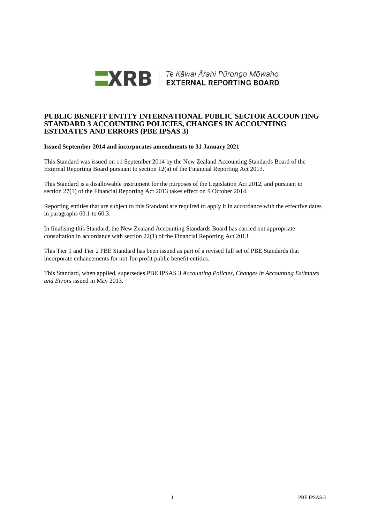

## **PUBLIC BENEFIT ENTITY INTERNATIONAL PUBLIC SECTOR ACCOUNTING STANDARD 3 ACCOUNTING POLICIES, CHANGES IN ACCOUNTING ESTIMATES AND ERRORS (PBE IPSAS 3)**

### **Issued September 2014 and incorporates amendments to 31 January 2021**

This Standard was issued on 11 September 2014 by the New Zealand Accounting Standards Board of the External Reporting Board pursuant to section 12(a) of the Financial Reporting Act 2013.

This Standard is a disallowable instrument for the purposes of the Legislation Act 2012, and pursuant to section 27(1) of the Financial Reporting Act 2013 takes effect on 9 October 2014.

Reporting entities that are subject to this Standard are required to apply it in accordance with the effective dates in paragraphs 60.1 to 60.3.

In finalising this Standard, the New Zealand Accounting Standards Board has carried out appropriate consultation in accordance with section 22(1) of the Financial Reporting Act 2013.

This Tier 1 and Tier 2 PBE Standard has been issued as part of a revised full set of PBE Standards that incorporate enhancements for not-for-profit public benefit entities.

This Standard, when applied, supersedes PBE IPSAS 3 *Accounting Policies, Changes in Accounting Estimates and Errors* issued in May 2013.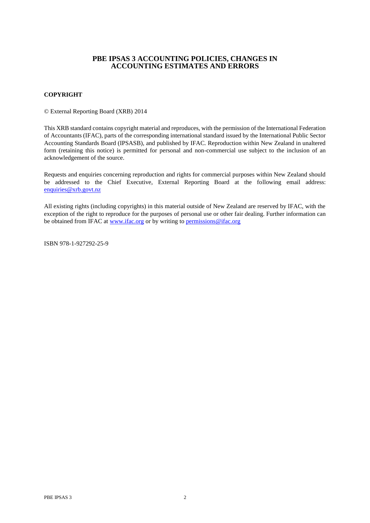## **PBE IPSAS 3 ACCOUNTING POLICIES, CHANGES IN ACCOUNTING ESTIMATES AND ERRORS**

## **COPYRIGHT**

© External Reporting Board (XRB) 2014

This XRB standard contains copyright material and reproduces, with the permission of the International Federation of Accountants (IFAC), parts of the corresponding international standard issued by the International Public Sector Accounting Standards Board (IPSASB), and published by IFAC. Reproduction within New Zealand in unaltered form (retaining this notice) is permitted for personal and non-commercial use subject to the inclusion of an acknowledgement of the source.

Requests and enquiries concerning reproduction and rights for commercial purposes within New Zealand should be addressed to the Chief Executive, External Reporting Board at the following email address: [enquiries@xrb.govt.nz](mailto:enquiries@xrb.govt.nz)

All existing rights (including copyrights) in this material outside of New Zealand are reserved by IFAC, with the exception of the right to reproduce for the purposes of personal use or other fair dealing. Further information can be obtained from IFAC a[t www.ifac.org](http://www.ifac.org/) or by writing to [permissions@ifac.org](mailto:permissions@ifac.org)

ISBN 978-1-927292-25-9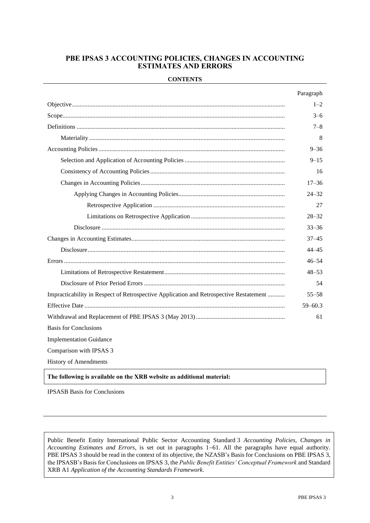# **PBE IPSAS 3 ACCOUNTING POLICIES, CHANGES IN ACCOUNTING ESTIMATES AND ERRORS**

## **CONTENTS**

|                                                                                        | Paragraph   |
|----------------------------------------------------------------------------------------|-------------|
|                                                                                        | $1 - 2$     |
|                                                                                        | $3-6$       |
|                                                                                        | $7 - 8$     |
|                                                                                        | 8           |
|                                                                                        | $9 - 36$    |
|                                                                                        | $9 - 15$    |
|                                                                                        | 16          |
|                                                                                        | $17 - 36$   |
|                                                                                        | $24 - 32$   |
|                                                                                        | 27          |
|                                                                                        | $28 - 32$   |
|                                                                                        | $33 - 36$   |
|                                                                                        | $37 - 45$   |
|                                                                                        | $44 - 45$   |
|                                                                                        | $46 - 54$   |
|                                                                                        | $48 - 53$   |
|                                                                                        | 54          |
| Impracticability in Respect of Retrospective Application and Retrospective Restatement | $55 - 58$   |
|                                                                                        | $59 - 60.3$ |
|                                                                                        | 61          |
| <b>Basis for Conclusions</b>                                                           |             |
| <b>Implementation Guidance</b>                                                         |             |
| Comparison with IPSAS 3                                                                |             |
| <b>History of Amendments</b>                                                           |             |

**The following is available on the XRB website as additional material:**

IPSASB Basis for Conclusions

Public Benefit Entity International Public Sector Accounting Standard 3 *Accounting Policies, Changes in Accounting Estimates and Errors*, is set out in paragraphs 1−61. All the paragraphs have equal authority. PBE IPSAS 3 should be read in the context of its objective, the NZASB's Basis for Conclusions on PBE IPSAS 3, the IPSASB's Basis for Conclusions on IPSAS 3, the *Public Benefit Entities' Conceptual Framework* and Standard XRB A1 *Application of the Accounting Standards Framework*.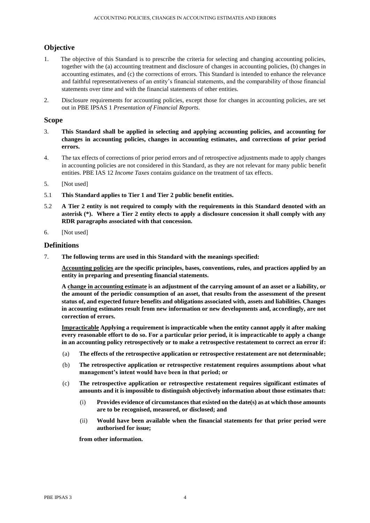# **Objective**

- 1. The objective of this Standard is to prescribe the criteria for selecting and changing accounting policies, together with the (a) accounting treatment and disclosure of changes in accounting policies, (b) changes in accounting estimates, and (c) the corrections of errors. This Standard is intended to enhance the relevance and faithful representativeness of an entity's financial statements, and the comparability of those financial statements over time and with the financial statements of other entities.
- 2. Disclosure requirements for accounting policies, except those for changes in accounting policies, are set out in PBE IPSAS 1 *Presentation of Financial Reports*.

## **Scope**

- 3. **This Standard shall be applied in selecting and applying accounting policies, and accounting for changes in accounting policies, changes in accounting estimates, and corrections of prior period errors.**
- 4. The tax effects of corrections of prior period errors and of retrospective adjustments made to apply changes in accounting policies are not considered in this Standard, as they are not relevant for many public benefit entities. PBE IAS 12 *Income Taxes* contains guidance on the treatment of tax effects.
- 5. [Not used]
- 5.1 **This Standard applies to Tier 1 and Tier 2 public benefit entities.**
- 5.2 **A Tier 2 entity is not required to comply with the requirements in this Standard denoted with an asterisk (\*). Where a Tier 2 entity elects to apply a disclosure concession it shall comply with any RDR paragraphs associated with that concession.**
- 6. [Not used]

## **Definitions**

7. **The following terms are used in this Standard with the meanings specified:** 

**Accounting policies are the specific principles, bases, conventions, rules, and practices applied by an entity in preparing and presenting financial statements.**

**A change in accounting estimate is an adjustment of the carrying amount of an asset or a liability, or the amount of the periodic consumption of an asset, that results from the assessment of the present status of, and expected future benefits and obligations associated with, assets and liabilities. Changes in accounting estimates result from new information or new developments and, accordingly, are not correction of errors.**

**Impracticable Applying a requirement is impracticable when the entity cannot apply it after making every reasonable effort to do so. For a particular prior period, it is impracticable to apply a change in an accounting policy retrospectively or to make a retrospective restatement to correct an error if:**

- (a) **The effects of the retrospective application or retrospective restatement are not determinable;**
- (b) **The retrospective application or retrospective restatement requires assumptions about what management's intent would have been in that period; or**
- (c) **The retrospective application or retrospective restatement requires significant estimates of amounts and it is impossible to distinguish objectively information about those estimates that:**
	- (i) **Provides evidence of circumstances that existed on the date(s) as at which those amounts are to be recognised, measured, or disclosed; and**
	- (ii) **Would have been available when the financial statements for that prior period were authorised for issue;**

**from other information.**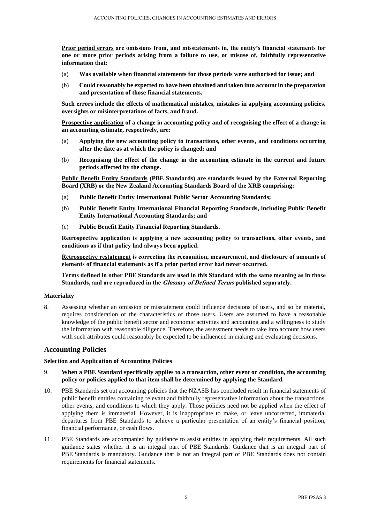**Prior period errors are omissions from, and misstatements in, the entity's financial statements for one or more prior periods arising from a failure to use, or misuse of, faithfully representative information that:**

- (a) **Was available when financial statements for those periods were authorised for issue; and**
- (b) **Could reasonably be expected to have been obtained and taken into account in the preparation and presentation of those financial statements.**

**Such errors include the effects of mathematical mistakes, mistakes in applying accounting policies, oversights or misinterpretations of facts, and fraud.**

**Prospective application of a change in accounting policy and of recognising the effect of a change in an accounting estimate, respectively, are:**

- (a) **Applying the new accounting policy to transactions, other events, and conditions occurring after the date as at which the policy is changed; and**
- (b) **Recognising the effect of the change in the accounting estimate in the current and future periods affected by the change.**

**Public Benefit Entity Standards (PBE Standards) are standards issued by the External Reporting Board (XRB) or the New Zealand Accounting Standards Board of the XRB comprising:**

- (a) **Public Benefit Entity International Public Sector Accounting Standards;**
- (b) **Public Benefit Entity International Financial Reporting Standards, including Public Benefit Entity International Accounting Standards; and**
- (c) **Public Benefit Entity Financial Reporting Standards.**

**Retrospective application is applying a new accounting policy to transactions, other events, and conditions as if that policy had always been applied.**

**Retrospective restatement is correcting the recognition, measurement, and disclosure of amounts of elements of financial statements as if a prior period error had never occurred.**

**Terms defined in other PBE Standards are used in this Standard with the same meaning as in those Standards, and are reproduced in the Glossary of Defined Terms published separately.** 

## **Materiality**

8. Assessing whether an omission or misstatement could influence decisions of users, and so be material, requires consideration of the characteristics of those users. Users are assumed to have a reasonable knowledge of the public benefit sector and economic activities and accounting and a willingness to study the information with reasonable diligence. Therefore, the assessment needs to take into account how users with such attributes could reasonably be expected to be influenced in making and evaluating decisions.

## **Accounting Policies**

## **Selection and Application of Accounting Policies**

- 9. **When a PBE Standard specifically applies to a transaction, other event or condition, the accounting policy or policies applied to that item shall be determined by applying the Standard.**
- 10. PBE Standards set out accounting policies that the NZASB has concluded result in financial statements of public benefit entities containing relevant and faithfully representative information about the transactions, other events, and conditions to which they apply. Those policies need not be applied when the effect of applying them is immaterial. However, it is inappropriate to make, or leave uncorrected, immaterial departures from PBE Standards to achieve a particular presentation of an entity's financial position, financial performance, or cash flows.
- 11. PBE Standards are accompanied by guidance to assist entities in applying their requirements. All such guidance states whether it is an integral part of PBE Standards. Guidance that is an integral part of PBE Standards is mandatory. Guidance that is not an integral part of PBE Standards does not contain requirements for financial statements.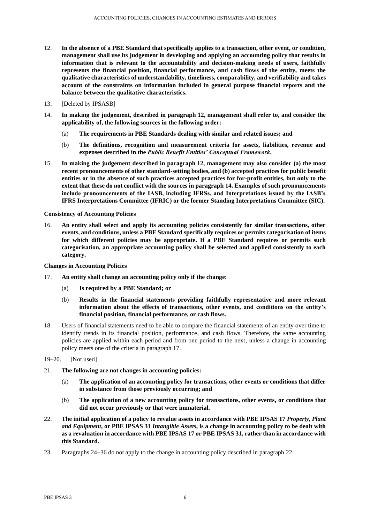- 12. **In the absence of a PBE Standard that specifically applies to a transaction, other event, or condition, management shall use its judgement in developing and applying an accounting policy that results in information that is relevant to the accountability and decision-making needs of users, faithfully represents the financial position, financial performance, and cash flows of the entity, meets the qualitative characteristics of understandability, timeliness, comparability, and verifiability and takes account of the constraints on information included in general purpose financial reports and the balance between the qualitative characteristics.**
- 13. [Deleted by IPSASB]
- 14. **In making the judgement, described in paragraph 12, management shall refer to, and consider the applicability of, the following sources in the following order:**
	- (a) **The requirements in PBE Standards dealing with similar and related issues; and**
	- (b) **The definitions, recognition and measurement criteria for assets, liabilities, revenue and expenses described in the** *Public Benefit Entities' Conceptual Framework***.**
- 15. **In making the judgement described in paragraph 12, management may also consider (a) the most recent pronouncements of other standard-setting bodies, and (b) accepted practices for public benefit entities or in the absence of such practices accepted practices for for-profit entities, but only to the extent that these do not conflict with the sources in paragraph 14. Examples of such pronouncements include pronouncements of the IASB, including IFRSs, and Interpretations issued by the IASB's IFRS Interpretations Committee (IFRIC) or the former Standing Interpretations Committee (SIC).**

## **Consistency of Accounting Policies**

16. **An entity shall select and apply its accounting policies consistently for similar transactions, other events, and conditions, unless a PBE Standard specifically requires or permits categorisation of items for which different policies may be appropriate. If a PBE Standard requires or permits such categorisation, an appropriate accounting policy shall be selected and applied consistently to each category.**

## **Changes in Accounting Policies**

- <span id="page-5-0"></span>17. **An entity shall change an accounting policy only if the change:** 
	- (a) **Is required by a PBE Standard; or**
	- (b) **Results in the financial statements providing faithfully representative and more relevant information about the effects of transactions, other events, and conditions on the entity's financial position, financial performance, or cash flows.**
- 18. Users of financial statements need to be able to compare the financial statements of an entity over time to identify trends in its financial position, performance, and cash flows. Therefore, the same accounting policies are applied within each period and from one period to the next, unless a change in accounting policy meets one of the criteria in paragraph [17.](#page-5-0)
- 19–20. [Not used]
- 21. **The following are not changes in accounting policies:**
	- (a) **The application of an accounting policy for transactions, other events or conditions that differ in substance from those previously occurring; and**
	- (b) **The application of a new accounting policy for transactions, other events, or conditions that did not occur previously or that were immaterial.**
- <span id="page-5-1"></span>22. **The initial application of a policy to revalue assets in accordance with PBE IPSAS 17** *Property, Plant and Equipment***, or PBE IPSAS 31** *Intangible Assets***, is a change in accounting policy to be dealt with as a revaluation in accordance with PBE IPSAS 17 or PBE IPSAS 31, rather than in accordance with this Standard.**
- 23. Paragraphs [24](#page-6-0)−36 do not apply to the change in accounting policy described in paragraph [22.](#page-5-1)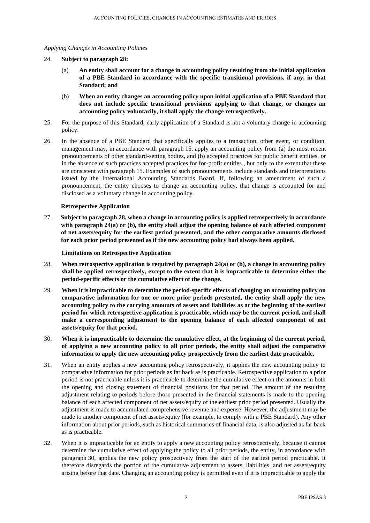### *Applying Changes in Accounting Policies*

- <span id="page-6-0"></span>24. **Subject to paragraph [28:](#page-6-1)**
	- (a) **An entity shall account for a change in accounting policy resulting from the initial application of a PBE Standard in accordance with the specific transitional provisions, if any, in that Standard; and**
	- (b) **When an entity changes an accounting policy upon initial application of a PBE Standard that does not include specific transitional provisions applying to that change, or changes an accounting policy voluntarily, it shall apply the change retrospectively.**
- 25. For the purpose of this Standard, early application of a Standard is not a voluntary change in accounting policy.
- 26. In the absence of a PBE Standard that specifically applies to a transaction, other event, or condition, management may, in accordance with paragraph 15, apply an accounting policy from (a) the most recent pronouncements of other standard-setting bodies, and (b) accepted practices for public benefit entities, or in the absence of such practices accepted practices for for-profit entities , but only to the extent that these are consistent with paragraph 15. Examples of such pronouncements include standards and interpretations issued by the International Accounting Standards Board. If, following an amendment of such a pronouncement, the entity chooses to change an accounting policy, that change is accounted for and disclosed as a voluntary change in accounting policy.

## **Retrospective Application**

27. **Subject to paragraph [28,](#page-6-1) when a change in accounting policy is applied retrospectively in accordance with paragraph [24\(](#page-6-0)a) or (b), the entity shall adjust the opening balance of each affected component of net assets/equity for the earliest period presented, and the other comparative amounts disclosed for each prior period presented as if the new accounting policy had always been applied.**

**Limitations on Retrospective Application**

- <span id="page-6-1"></span>28. **When retrospective application is required by paragraph [24\(](#page-6-0)a) or (b), a change in accounting policy shall be applied retrospectively, except to the extent that it is impracticable to determine either the period-specific effects or the cumulative effect of the change.**
- 29. **When it is impracticable to determine the period-specific effects of changing an accounting policy on comparative information for one or more prior periods presented, the entity shall apply the new accounting policy to the carrying amounts of assets and liabilities as at the beginning of the earliest period for which retrospective application is practicable, which may be the current period, and shall make a corresponding adjustment to the opening balance of each affected component of net assets/equity for that period.**
- <span id="page-6-2"></span>30. **When it is impracticable to determine the cumulative effect, at the beginning of the current period, of applying a new accounting policy to all prior periods, the entity shall adjust the comparative information to apply the new accounting policy prospectively from the earliest date practicable.**
- 31. When an entity applies a new accounting policy retrospectively, it applies the new accounting policy to comparative information for prior periods as far back as is practicable. Retrospective application to a prior period is not practicable unless it is practicable to determine the cumulative effect on the amounts in both the opening and closing statement of financial positions for that period. The amount of the resulting adjustment relating to periods before those presented in the financial statements is made to the opening balance of each affected component of net assets/equity of the earliest prior period presented. Usually the adjustment is made to accumulated comprehensive revenue and expense. However, the adjustment may be made to another component of net assets/equity (for example, to comply with a PBE Standard). Any other information about prior periods, such as historical summaries of financial data, is also adjusted as far back as is practicable.
- 32. When it is impracticable for an entity to apply a new accounting policy retrospectively, because it cannot determine the cumulative effect of applying the policy to all prior periods, the entity, in accordance with paragraph [30,](#page-6-2) applies the new policy prospectively from the start of the earliest period practicable. It therefore disregards the portion of the cumulative adjustment to assets, liabilities, and net assets/equity arising before that date. Changing an accounting policy is permitted even if it is impracticable to apply the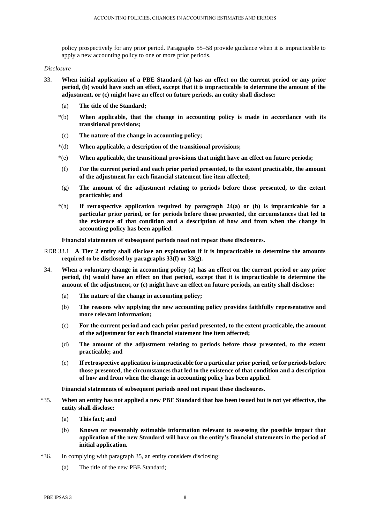policy prospectively for any prior period. Paragraphs [55](#page-10-0)−[58](#page-10-1) provide guidance when it is impracticable to apply a new accounting policy to one or more prior periods.

#### *Disclosure*

- 33. **When initial application of a PBE Standard (a) has an effect on the current period or any prior period, (b) would have such an effect, except that it is impracticable to determine the amount of the adjustment, or (c) might have an effect on future periods, an entity shall disclose:**
	- (a) **The title of the Standard;**
	- \*(b) **When applicable, that the change in accounting policy is made in accordance with its transitional provisions;**
	- (c) **The nature of the change in accounting policy;**
	- \*(d) **When applicable, a description of the transitional provisions;**
	- \*(e) **When applicable, the transitional provisions that might have an effect on future periods;**
	- (f) **For the current period and each prior period presented, to the extent practicable, the amount of the adjustment for each financial statement line item affected;**
	- (g) **The amount of the adjustment relating to periods before those presented, to the extent practicable; and**
	- \*(h) **If retrospective application required by paragraph [24\(](#page-6-0)a) or (b) is impracticable for a particular prior period, or for periods before those presented, the circumstances that led to the existence of that condition and a description of how and from when the change in accounting policy has been applied.**

**Financial statements of subsequent periods need not repeat these disclosures.**

- RDR 33.1 **A Tier 2 entity shall disclose an explanation if it is impracticable to determine the amounts required to be disclosed by paragraphs 33(f) or 33(g).**
- 34. **When a voluntary change in accounting policy (a) has an effect on the current period or any prior period, (b) would have an effect on that period, except that it is impracticable to determine the amount of the adjustment, or (c) might have an effect on future periods, an entity shall disclose:**
	- (a) **The nature of the change in accounting policy;**
	- (b) **The reasons why applying the new accounting policy provides faithfully representative and more relevant information;**
	- (c) **For the current period and each prior period presented, to the extent practicable, the amount of the adjustment for each financial statement line item affected;**
	- (d) **The amount of the adjustment relating to periods before those presented, to the extent practicable; and**
	- (e) **If retrospective application is impracticable for a particular prior period, or for periods before those presented, the circumstances that led to the existence of that condition and a description of how and from when the change in accounting policy has been applied.**

**Financial statements of subsequent periods need not repeat these disclosures.**

- \*35. **When an entity has not applied a new PBE Standard that has been issued but is not yet effective, the entity shall disclose:**
	- (a) **This fact; and**
	- (b) **Known or reasonably estimable information relevant to assessing the possible impact that application of the new Standard will have on the entity's financial statements in the period of initial application.**
- \*36. In complying with paragraph 35, an entity considers disclosing:
	- (a) The title of the new PBE Standard;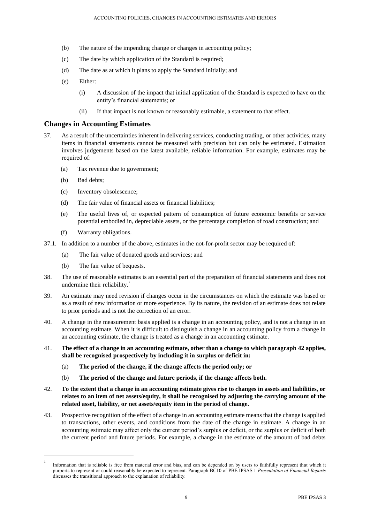- (b) The nature of the impending change or changes in accounting policy;
- (c) The date by which application of the Standard is required;
- (d) The date as at which it plans to apply the Standard initially; and
- (e) Either:
	- (i) A discussion of the impact that initial application of the Standard is expected to have on the entity's financial statements; or
	- (ii) If that impact is not known or reasonably estimable, a statement to that effect.

## **Changes in Accounting Estimates**

- 37. As a result of the uncertainties inherent in delivering services, conducting trading, or other activities, many items in financial statements cannot be measured with precision but can only be estimated. Estimation involves judgements based on the latest available, reliable information. For example, estimates may be required of:
	- (a) Tax revenue due to government;
	- (b) Bad debts;
	- (c) Inventory obsolescence;
	- (d) The fair value of financial assets or financial liabilities;
	- (e) The useful lives of, or expected pattern of consumption of future economic benefits or service potential embodied in, depreciable assets, or the percentage completion of road construction; and
	- (f) Warranty obligations.
- 37.1. In addition to a number of the above, estimates in the not-for-profit sector may be required of:
	- (a) The fair value of donated goods and services; and
	- (b) The fair value of bequests.
- 38. The use of reasonable estimates is an essential part of the preparation of financial statements and does not undermine their reliability. $\frac{1}{1}$
- 39. An estimate may need revision if changes occur in the circumstances on which the estimate was based or as a result of new information or more experience. By its nature, the revision of an estimate does not relate to prior periods and is not the correction of an error.
- 40. A change in the measurement basis applied is a change in an accounting policy, and is not a change in an accounting estimate. When it is difficult to distinguish a change in an accounting policy from a change in an accounting estimate, the change is treated as a change in an accounting estimate.
- 41. **The effect of a change in an accounting estimate, other than a change to which paragrap[h 42](#page-8-0) applies, shall be recognised prospectively by including it in surplus or deficit in:**
	- (a) **The period of the change, if the change affects the period only; or**
	- (b) **The period of the change and future periods, if the change affects both.**
- <span id="page-8-0"></span>42. **To the extent that a change in an accounting estimate gives rise to changes in assets and liabilities, or relates to an item of net assets/equity, it shall be recognised by adjusting the carrying amount of the related asset, liability, or net assets/equity item in the period of change.**
- 43. Prospective recognition of the effect of a change in an accounting estimate means that the change is applied to transactions, other events, and conditions from the date of the change in estimate. A change in an accounting estimate may affect only the current period's surplus or deficit, or the surplus or deficit of both the current period and future periods. For example, a change in the estimate of the amount of bad debts

<sup>1</sup> Information that is reliable is free from material error and bias, and can be depended on by users to faithfully represent that which it purports to represent or could reasonably be expected to represent. Paragraph BC10 of PBE IPSAS 1 *Presentation of Financial Reports* discusses the transitional approach to the explanation of reliability.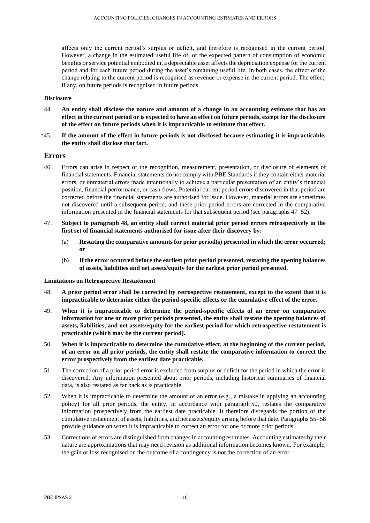affects only the current period's surplus or deficit, and therefore is recognised in the current period. However, a change in the estimated useful life of, or the expected pattern of consumption of economic benefits or service potential embodied in, a depreciable asset affects the depreciation expense for the current period and for each future period during the asset's remaining useful life. In both cases, the effect of the change relating to the current period is recognised as revenue or expense in the current period. The effect, if any, on future periods is recognised in future periods.

## **Disclosure**

- 44. **An entity shall disclose the nature and amount of a change in an accounting estimate that has an effect in the current period or is expected to have an effect on future periods, except for the disclosure of the effect on future periods when it is impracticable to estimate that effect.**
- \*45. **If the amount of the effect in future periods is not disclosed because estimating it is impracticable, the entity shall disclose that fact.**

## **Errors**

- 46. Errors can arise in respect of the recognition, measurement, presentation, or disclosure of elements of financial statements. Financial statements do not comply with PBE Standards if they contain either material errors, or immaterial errors made intentionally to achieve a particular presentation of an entity's financial position, financial performance, or cash flows. Potential current period errors discovered in that period are corrected before the financial statements are authorised for issue. However, material errors are sometimes not discovered until a subsequent period, and these prior period errors are corrected in the comparative information presented in the financial statements for that subsequent period (see paragraphs [47](#page-9-0)−52).
- <span id="page-9-0"></span>47. **Subject to paragraph [48,](#page-9-1) an entity shall correct material prior period errors retrospectively in the first set of financial statements authorised for issue after their discovery by:**
	- (a) **Restating the comparative amounts for prior period(s) presented in which the error occurred; or**
	- (b) **If the error occurred before the earliest prior period presented, restating the opening balances of assets, liabilities and net assets/equity for the earliest prior period presented.**

## **Limitations on Retrospective Restatement**

- <span id="page-9-1"></span>48. **A prior period error shall be corrected by retrospective restatement, except to the extent that it is impracticable to determine either the period-specific effects or the cumulative effect of the error.**
- 49. **When it is impracticable to determine the period-specific effects of an error on comparative information for one or more prior periods presented, the entity shall restate the opening balances of assets, liabilities, and net assets/equity for the earliest period for which retrospective restatement is practicable (which may be the current period).**
- <span id="page-9-2"></span>50. **When it is impracticable to determine the cumulative effect, at the beginning of the current period, of an error on all prior periods, the entity shall restate the comparative information to correct the error prospectively from the earliest date practicable.**
- 51. The correction of a prior period error is excluded from surplus or deficit for the period in which the error is discovered. Any information presented about prior periods, including historical summaries of financial data, is also restated as far back as is practicable.
- 52. When it is impracticable to determine the amount of an error (e.g., a mistake in applying an accounting policy) for all prior periods, the entity, in accordance with paragraph [50,](#page-9-2) restates the comparative information prospectively from the earliest date practicable. It therefore disregards the portion of the cumulative restatement of assets, liabilities, and net assets/equity arising before that date. Paragraphs [55](#page-10-0)−[58](#page-10-1) provide guidance on when it is impracticable to correct an error for one or more prior periods.
- 53. Corrections of errors are distinguished from changes in accounting estimates. Accounting estimates by their nature are approximations that may need revision as additional information becomes known. For example, the gain or loss recognised on the outcome of a contingency is not the correction of an error.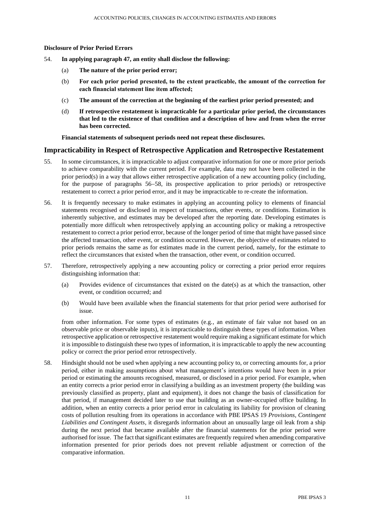### **Disclosure of Prior Period Errors**

- 54. **In applying paragraph [47,](#page-9-0) an entity shall disclose the following:**
	- (a) **The nature of the prior period error;**
	- (b) **For each prior period presented, to the extent practicable, the amount of the correction for each financial statement line item affected;**
	- (c) **The amount of the correction at the beginning of the earliest prior period presented; and**
	- (d) **If retrospective restatement is impracticable for a particular prior period, the circumstances that led to the existence of that condition and a description of how and from when the error has been corrected.**

**Financial statements of subsequent periods need not repeat these disclosures.**

## **Impracticability in Respect of Retrospective Application and Retrospective Restatement**

- <span id="page-10-0"></span>55. In some circumstances, it is impracticable to adjust comparative information for one or more prior periods to achieve comparability with the current period. For example, data may not have been collected in the prior period(s) in a way that allows either retrospective application of a new accounting policy (including, for the purpose of paragraphs [56](#page-10-2)−[58,](#page-10-1) its prospective application to prior periods) or retrospective restatement to correct a prior period error, and it may be impracticable to re-create the information.
- <span id="page-10-2"></span>56. It is frequently necessary to make estimates in applying an accounting policy to elements of financial statements recognised or disclosed in respect of transactions, other events, or conditions. Estimation is inherently subjective, and estimates may be developed after the reporting date. Developing estimates is potentially more difficult when retrospectively applying an accounting policy or making a retrospective restatement to correct a prior period error, because of the longer period of time that might have passed since the affected transaction, other event, or condition occurred. However, the objective of estimates related to prior periods remains the same as for estimates made in the current period, namely, for the estimate to reflect the circumstances that existed when the transaction, other event, or condition occurred.
- 57. Therefore, retrospectively applying a new accounting policy or correcting a prior period error requires distinguishing information that:
	- (a) Provides evidence of circumstances that existed on the date(s) as at which the transaction, other event, or condition occurred; and
	- (b) Would have been available when the financial statements for that prior period were authorised for issue.

from other information. For some types of estimates (e.g., an estimate of fair value not based on an observable price or observable inputs), it is impracticable to distinguish these types of information. When retrospective application or retrospective restatement would require making a significant estimate for which it is impossible to distinguish these two types of information, it is impracticable to apply the new accounting policy or correct the prior period error retrospectively.

<span id="page-10-1"></span>58. Hindsight should not be used when applying a new accounting policy to, or correcting amounts for, a prior period, either in making assumptions about what management's intentions would have been in a prior period or estimating the amounts recognised, measured, or disclosed in a prior period. For example, when an entity corrects a prior period error in classifying a building as an investment property (the building was previously classified as property, plant and equipment), it does not change the basis of classification for that period, if management decided later to use that building as an owner-occupied office building. In addition, when an entity corrects a prior period error in calculating its liability for provision of cleaning costs of pollution resulting from its operations in accordance with PBE IPSAS 19 *Provisions, Contingent Liabilities and Contingent Assets*, it disregards information about an unusually large oil leak from a ship during the next period that became available after the financial statements for the prior period were authorised for issue. The fact that significant estimates are frequently required when amending comparative information presented for prior periods does not prevent reliable adjustment or correction of the comparative information.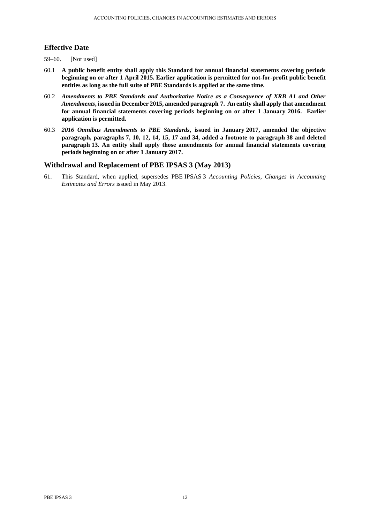## **Effective Date**

59–60. [Not used]

- 60.1 **A public benefit entity shall apply this Standard for annual financial statements covering periods beginning on or after 1 April 2015. Earlier application is permitted for not-for-profit public benefit entities as long as the full suite of PBE Standards is applied at the same time.**
- 60.2 *Amendments to PBE Standards and Authoritative Notice as a Consequence of XRB A1 and Other Amendments***, issued in December 2015, amended paragraph 7. An entity shall apply that amendment for annual financial statements covering periods beginning on or after 1 January 2016. Earlier application is permitted.**
- 60.3 *2016 Omnibus Amendments to PBE Standards***, issued in January 2017, amended the objective paragraph, paragraphs 7, 10, 12, 14, 15, 17 and 34, added a footnote to paragraph 38 and deleted paragraph 13. An entity shall apply those amendments for annual financial statements covering periods beginning on or after 1 January 2017.**

## **Withdrawal and Replacement of PBE IPSAS 3 (May 2013)**

61. This Standard, when applied, supersedes PBE IPSAS 3 *Accounting Policies, Changes in Accounting Estimates and Errors* issued in May 2013.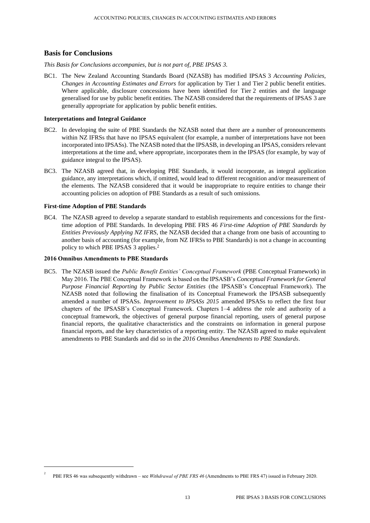## **Basis for Conclusions**

*This Basis for Conclusions accompanies, but is not part of, PBE IPSAS 3.*

BC1. The New Zealand Accounting Standards Board (NZASB) has modified IPSAS 3 *Accounting Policies, Changes in Accounting Estimates and Errors* for application by Tier 1 and Tier 2 public benefit entities. Where applicable, disclosure concessions have been identified for Tier 2 entities and the language generalised for use by public benefit entities. The NZASB considered that the requirements of IPSAS 3 are generally appropriate for application by public benefit entities.

### **Interpretations and Integral Guidance**

- BC2. In developing the suite of PBE Standards the NZASB noted that there are a number of pronouncements within NZ IFRSs that have no IPSAS equivalent (for example, a number of interpretations have not been incorporated into IPSASs). The NZASB noted that the IPSASB, in developing an IPSAS, considers relevant interpretations at the time and, where appropriate, incorporates them in the IPSAS (for example, by way of guidance integral to the IPSAS).
- BC3. The NZASB agreed that, in developing PBE Standards, it would incorporate, as integral application guidance, any interpretations which, if omitted, would lead to different recognition and/or measurement of the elements. The NZASB considered that it would be inappropriate to require entities to change their accounting policies on adoption of PBE Standards as a result of such omissions.

### **First-time Adoption of PBE Standards**

BC4. The NZASB agreed to develop a separate standard to establish requirements and concessions for the firsttime adoption of PBE Standards. In developing PBE FRS 46 *First-time Adoption of PBE Standards by Entities Previously Applying NZ IFRS*, the NZASB decided that a change from one basis of accounting to another basis of accounting (for example, from NZ IFRSs to PBE Standards) is not a change in accounting policy to which PBE IPSAS 3 applies.<sup>2</sup>

### **2016 Omnibus Amendments to PBE Standards**

BC5. The NZASB issued the *Public Benefit Entities' Conceptual Framework* (PBE Conceptual Framework) in May 2016. The PBE Conceptual Framework is based on the IPSASB's *Conceptual Framework for General Purpose Financial Reporting by Public Sector Entities* (the IPSASB's Conceptual Framework). The NZASB noted that following the finalisation of its Conceptual Framework the IPSASB subsequently amended a number of IPSASs. *Improvement to IPSASs 2015* amended IPSASs to reflect the first four chapters of the IPSASB's Conceptual Framework. Chapters 1–4 address the role and authority of a conceptual framework, the objectives of general purpose financial reporting, users of general purpose financial reports, the qualitative characteristics and the constraints on information in general purpose financial reports, and the key characteristics of a reporting entity. The NZASB agreed to make equivalent amendments to PBE Standards and did so in the *2016 Omnibus Amendments to PBE Standards*.

<sup>2</sup> PBE FRS 46 was subsequently withdrawn – see *Withdrawal of PBE FRS 46* (Amendments to PBE FRS 47) issued in February 2020.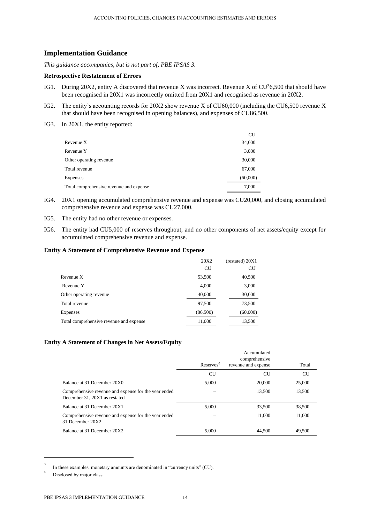## **Implementation Guidance**

*This guidance accompanies, but is not part of, PBE IPSAS 3.*

#### **Retrospective Restatement of Errors**

- IG1. During 20X2, entity A discovered that revenue X was incorrect. Revenue X of CU<sup>3</sup>6,500 that should have been recognised in 20X1 was incorrectly omitted from 20X1 and recognised as revenue in 20X2.
- IG2. The entity's accounting records for 20X2 show revenue X of CU60,000 (including the CU6,500 revenue X that should have been recognised in opening balances), and expenses of CU86,500.
- IG3. In 20X1, the entity reported:

|                                         | <b>CU</b> |
|-----------------------------------------|-----------|
| Revenue X                               | 34,000    |
| Revenue Y                               | 3,000     |
| Other operating revenue                 | 30,000    |
| Total revenue                           | 67,000    |
| <b>Expenses</b>                         | (60,000)  |
| Total comprehensive revenue and expense | 7,000     |
|                                         |           |

- IG4. 20X1 opening accumulated comprehensive revenue and expense was CU20,000, and closing accumulated comprehensive revenue and expense was CU27,000.
- IG5. The entity had no other revenue or expenses.
- IG6. The entity had CU5,000 of reserves throughout, and no other components of net assets/equity except for accumulated comprehensive revenue and expense.

#### **Entity A Statement of Comprehensive Revenue and Expense**

|                                         | 20X2      | (restated) 20X1 |
|-----------------------------------------|-----------|-----------------|
|                                         | <b>CU</b> | <b>CU</b>       |
| Revenue X                               | 53,500    | 40,500          |
| Revenue Y                               | 4,000     | 3,000           |
| Other operating revenue                 | 40,000    | 30,000          |
| Total revenue                           | 97,500    | 73,500          |
| Expenses                                | (86,500)  | (60,000)        |
| Total comprehensive revenue and expense | 11,000    | 13,500          |

#### **Entity A Statement of Changes in Net Assets/Equity**

|                                                                                       | Reserves <sup>4</sup> | Accumulated<br>comprehensive<br>revenue and expense | Total     |
|---------------------------------------------------------------------------------------|-----------------------|-----------------------------------------------------|-----------|
|                                                                                       | <b>CU</b>             | CU                                                  | <b>CU</b> |
| Balance at 31 December 20X0                                                           | 5.000                 | 20,000                                              | 25,000    |
| Comprehensive revenue and expense for the year ended<br>December 31, 20X1 as restated |                       | 13.500                                              | 13.500    |
| Balance at 31 December 20X1                                                           | 5.000                 | 33,500                                              | 38,500    |
| Comprehensive revenue and expense for the year ended<br>31 December 20X2              |                       | 11.000                                              | 11.000    |
| Balance at 31 December 20X2                                                           | 5.000                 | 44.500                                              | 49.500    |

<sup>3</sup> In these examples, monetary amounts are denominated in "currency units" (CU).

<sup>4</sup> Disclosed by major class.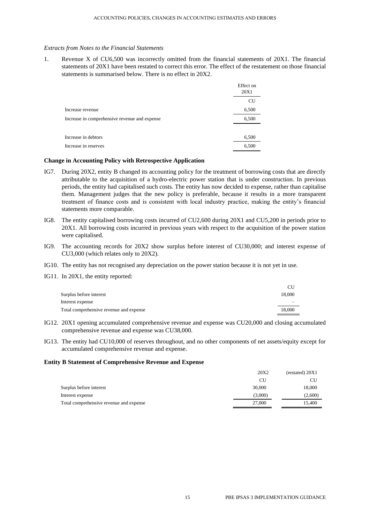### *Extracts from Notes to the Financial Statements*

1. Revenue X of CU6,500 was incorrectly omitted from the financial statements of 20X1. The financial statements of 20X1 have been restated to correct this error. The effect of the restatement on those financial statements is summarised below. There is no effect in 20X2.

|                                               | Effect on<br>20X1 |
|-----------------------------------------------|-------------------|
|                                               | <b>CU</b>         |
| Increase revenue                              | 6,500             |
| Increase in comprehensive revenue and expense | 6,500             |
|                                               |                   |
| Increase in debtors                           | 6,500             |
| Increase in reserves                          | 6,500             |

### **Change in Accounting Policy with Retrospective Application**

- IG7. During 20X2, entity B changed its accounting policy for the treatment of borrowing costs that are directly attributable to the acquisition of a hydro-electric power station that is under construction. In previous periods, the entity had capitalised such costs. The entity has now decided to expense, rather than capitalise them. Management judges that the new policy is preferable, because it results in a more transparent treatment of finance costs and is consistent with local industry practice, making the entity's financial statements more comparable.
- IG8. The entity capitalised borrowing costs incurred of CU2,600 during 20X1 and CU5,200 in periods prior to 20X1. All borrowing costs incurred in previous years with respect to the acquisition of the power station were capitalised.
- IG9. The accounting records for 20X2 show surplus before interest of CU30,000; and interest expense of CU3,000 (which relates only to 20X2).
- IG10. The entity has not recognised any depreciation on the power station because it is not yet in use.
- IG11. In 20X1, the entity reported:

|                                         | CU     |
|-----------------------------------------|--------|
| Surplus before interest                 | 18,000 |
| Interest expense                        |        |
| Total comprehensive revenue and expense | 18,000 |

- IG12. 20X1 opening accumulated comprehensive revenue and expense was CU20,000 and closing accumulated comprehensive revenue and expense was CU38,000.
- IG13. The entity had CU10,000 of reserves throughout, and no other components of net assets/equity except for accumulated comprehensive revenue and expense.

#### **Entity B Statement of Comprehensive Revenue and Expense**

|                                         | 20X2    | (restated) 20X1 |
|-----------------------------------------|---------|-----------------|
|                                         | CU      | CU              |
| Surplus before interest                 | 30,000  | 18,000          |
| Interest expense                        | (3.000) | (2,600)         |
| Total comprehensive revenue and expense | 27,000  | 15.400          |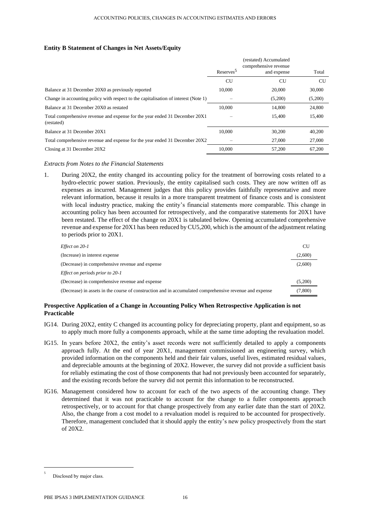## **Entity B Statement of Changes in Net Assets/Equity**

|                                                                                           | (restated) Accumulated<br>comprehensive revenue |             |           |
|-------------------------------------------------------------------------------------------|-------------------------------------------------|-------------|-----------|
|                                                                                           | Reserves <sup>5</sup>                           | and expense | Total     |
|                                                                                           | CU                                              | CU          | <b>CU</b> |
| Balance at 31 December 20X0 as previously reported                                        | 10,000                                          | 20,000      | 30,000    |
| Change in accounting policy with respect to the capitalisation of interest (Note 1)       |                                                 | (5,200)     | (5,200)   |
| Balance at 31 December 20X0 as restated                                                   | 10.000                                          | 14,800      | 24,800    |
| Total comprehensive revenue and expense for the year ended 31 December 20X1<br>(restated) |                                                 | 15.400      | 15,400    |
| Balance at 31 December 20X1                                                               | 10,000                                          | 30,200      | 40,200    |
| Total comprehensive revenue and expense for the year ended 31 December 20X2               |                                                 | 27,000      | 27,000    |
| Closing at 31 December 20X2                                                               | 10.000                                          | 57,200      | 67,200    |

## *Extracts from Notes to the Financial Statements*

1. During 20X2, the entity changed its accounting policy for the treatment of borrowing costs related to a hydro-electric power station. Previously, the entity capitalised such costs. They are now written off as expenses as incurred. Management judges that this policy provides faithfully representative and more relevant information, because it results in a more transparent treatment of finance costs and is consistent with local industry practice, making the entity's financial statements more comparable. This change in accounting policy has been accounted for retrospectively, and the comparative statements for 20X1 have been restated. The effect of the change on 20X1 is tabulated below. Opening accumulated comprehensive revenue and expense for 20X1 has been reduced by CU5,200, which is the amount of the adjustment relating to periods prior to 20X1.

| Effect on 20-1                                                                                          | CU      |
|---------------------------------------------------------------------------------------------------------|---------|
| (Increase) in interest expense                                                                          | (2,600) |
| (Decrease) in comprehensive revenue and expense                                                         | (2,600) |
| Effect on periods prior to 20-1                                                                         |         |
| (Decrease) in comprehensive revenue and expense                                                         | (5,200) |
| (Decrease) in assets in the course of construction and in accumulated comprehensive revenue and expense | (7,800) |

## **Prospective Application of a Change in Accounting Policy When Retrospective Application is not Practicable**

- IG14. During 20X2, entity C changed its accounting policy for depreciating property, plant and equipment, so as to apply much more fully a components approach, while at the same time adopting the revaluation model.
- IG15. In years before 20X2, the entity's asset records were not sufficiently detailed to apply a components approach fully. At the end of year 20X1, management commissioned an engineering survey, which provided information on the components held and their fair values, useful lives, estimated residual values, and depreciable amounts at the beginning of 20X2. However, the survey did not provide a sufficient basis for reliably estimating the cost of those components that had not previously been accounted for separately, and the existing records before the survey did not permit this information to be reconstructed.
- IG16. Management considered how to account for each of the two aspects of the accounting change. They determined that it was not practicable to account for the change to a fuller components approach retrospectively, or to account for that change prospectively from any earlier date than the start of 20X2. Also, the change from a cost model to a revaluation model is required to be accounted for prospectively. Therefore, management concluded that it should apply the entity's new policy prospectively from the start of 20X2.

<sup>5</sup> Disclosed by major class.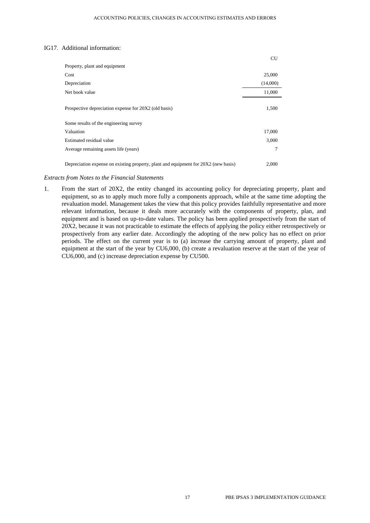#### IG17. Additional information:

|                                                                                     | <b>CU</b> |
|-------------------------------------------------------------------------------------|-----------|
| Property, plant and equipment                                                       |           |
| Cost                                                                                | 25,000    |
| Depreciation                                                                        | (14,000)  |
| Net book value                                                                      | 11,000    |
| Prospective depreciation expense for 20X2 (old basis)                               | 1,500     |
| Some results of the engineering survey                                              |           |
| Valuation                                                                           | 17,000    |
| Estimated residual value                                                            | 3,000     |
| Average remaining assets life (years)                                               |           |
| Depreciation expense on existing property, plant and equipment for 20X2 (new basis) | 2.000     |

## *Extracts from Notes to the Financial Statements*

1. From the start of 20X2, the entity changed its accounting policy for depreciating property, plant and equipment, so as to apply much more fully a components approach, while at the same time adopting the revaluation model. Management takes the view that this policy provides faithfully representative and more relevant information, because it deals more accurately with the components of property, plan, and equipment and is based on up-to-date values. The policy has been applied prospectively from the start of 20X2, because it was not practicable to estimate the effects of applying the policy either retrospectively or prospectively from any earlier date. Accordingly the adopting of the new policy has no effect on prior periods. The effect on the current year is to (a) increase the carrying amount of property, plant and equipment at the start of the year by CU6,000, (b) create a revaluation reserve at the start of the year of CU6,000, and (c) increase depreciation expense by CU500.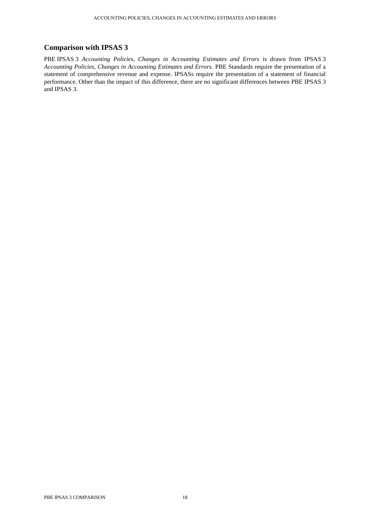# **Comparison with IPSAS 3**

PBE IPSAS 3 Accounting Policies, Changes in Accounting Estimates and Errors is drawn from IPSAS 3 *Accounting Policies, Changes in Accounting Estimates and Errors.* PBE Standards require the presentation of a statement of comprehensive revenue and expense. IPSASs require the presentation of a statement of financial performance. Other than the impact of this difference, there are no significant differences between PBE IPSAS 3 and IPSAS 3.